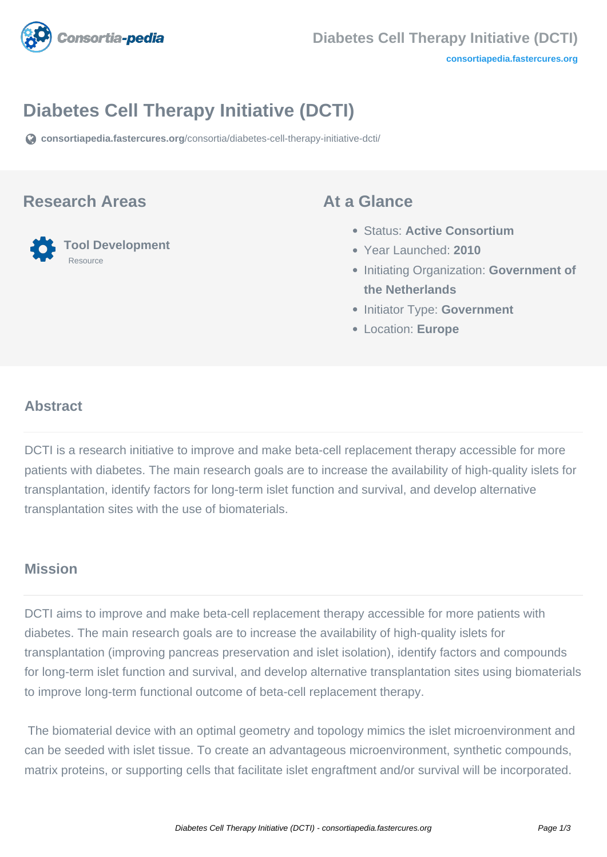

# **Diabetes Cell Therapy Initiative (DCTI)**

**[consortiapedia.fastercures.org](https://consortiapedia.fastercures.org/consortia/diabetes-cell-therapy-initiative-dcti/)**[/consortia/diabetes-cell-therapy-initiative-dcti/](https://consortiapedia.fastercures.org/consortia/diabetes-cell-therapy-initiative-dcti/)

### **Research Areas**

#### **Tool Development** Resource

### **At a Glance**

- Status: **Active Consortium**
- Year Launched: **2010**
- **Initiating Organization: Government of the Netherlands**
- **Initiator Type: Government**
- Location: **Europe**

#### $\overline{a}$ **Abstract**

DCTI is a research initiative to improve and make beta-cell replacement therapy accessible for more patients with diabetes. The main research goals are to increase the availability of high-quality islets for transplantation, identify factors for long-term islet function and survival, and develop alternative transplantation sites with the use of biomaterials.

## **Mission**

DCTI aims to improve and make beta-cell replacement therapy accessible for more patients with diabetes. The main research goals are to increase the availability of high-quality islets for transplantation (improving pancreas preservation and islet isolation), identify factors and compounds for long-term islet function and survival, and develop alternative transplantation sites using biomaterials to improve long-term functional outcome of beta-cell replacement therapy.

 The biomaterial device with an optimal geometry and topology mimics the islet microenvironment and can be seeded with islet tissue. To create an advantageous microenvironment, synthetic compounds, matrix proteins, or supporting cells that facilitate islet engraftment and/or survival will be incorporated.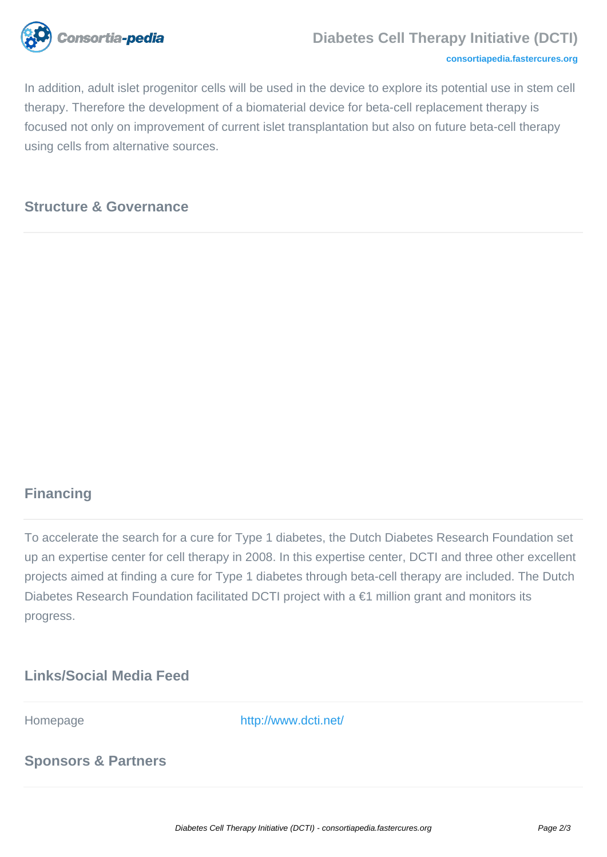

#### **Diabetes Cell Therapy Initiative (DCTI)**

#### **[consortiapedia.fastercures.org](http://consortiapedia.fastercures.org/)**

In addition, adult islet progenitor cells will be used in the device to explore its potential use in stem cell therapy. Therefore the development of a biomaterial device for beta-cell replacement therapy is focused not only on improvement of current islet transplantation but also on future beta-cell therapy using cells from alternative sources.

## **Structure & Governance**

# **Financing**

To accelerate the search for a cure for Type 1 diabetes, the Dutch Diabetes Research Foundation set up an expertise center for cell therapy in 2008. In this expertise center, DCTI and three other excellent projects aimed at finding a cure for Type 1 diabetes through beta-cell therapy are included. The Dutch Diabetes Research Foundation facilitated DCTI project with a €1 million grant and monitors its progress.

## **Links/Social Media Feed**

Homepage <http://www.dcti.net/>

# **Sponsors & Partners**